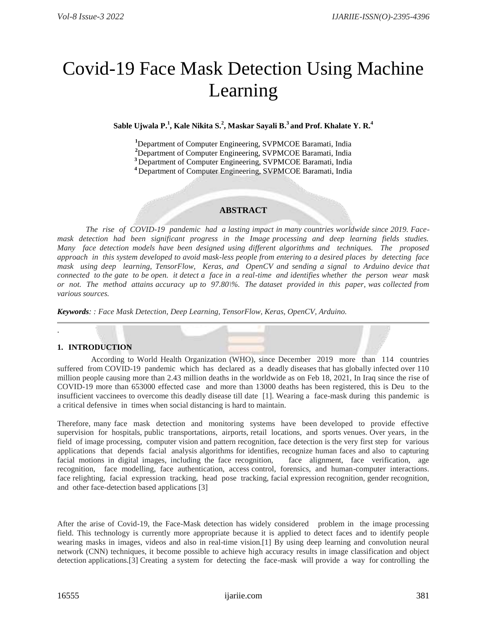# Covid-19 Face Mask Detection Using Machine Learning

# $\boldsymbol{\mathrm{S}}$ able Ujwala P. $^{1}$ , Kale Nikita S. $^{2}$ , Maskar Sayali B. $^{3}$  and Prof. Khalate Y. R. $^{4}$

Department of Computer Engineering, SVPMCOE Baramati, India Department of Computer Engineering, SVPMCOE Baramati, India Department of Computer Engineering, SVPMCOE Baramati, India Department of Computer Engineering, SVPMCOE Baramati, India

# **ABSTRACT**

*The rise of COVID-19 pandemic had a lasting impact in many countries worldwide since 2019. Facemask detection had been significant progress in the Image processing and deep learning fields studies. Many face detection models have been designed using different algorithms and techniques. The proposed approach in this system developed to avoid mask-less people from entering to a desired places by detecting face mask using deep learning, TensorFlow, Keras, and OpenCV and sending a signal to Arduino device that connected to the gate to be open. it detect a face in a real-time and identifies whether the person wear mask or not. The method attains accuracy up to 97.80\%. The dataset provided in this paper, was collected from various sources.*

*Keywords: : Face Mask Detection, Deep Learning, TensorFlow, Keras, OpenCV, Arduino.*

# **1. INTRODUCTION**

.

 According to World Health Organization (WHO), since December 2019 more than 114 countries suffered from COVID-19 pandemic which has declared as a deadly diseases that has globally infected over 110 million people causing more than 2.43 million deaths in the worldwide as on Feb 18, 2021, In Iraq since the rise of COVID-19 more than 653000 effected case and more than 13000 deaths has been registered, this is Deu to the insufficient vaccinees to overcome this deadly disease till date [1]. Wearing a face-mask during this pandemic is a critical defensive in times when social distancing is hard to maintain.

Therefore, many face mask detection and monitoring systems have been developed to provide effective supervision for hospitals, public transportations, airports, retail locations, and sports venues. Over years, in the field of image processing, computer vision and pattern recognition, face detection is the very first step for various applications that depends facial analysis algorithms for identifies, recognize human faces and also to capturing facial motions in digital images, including the face recognition, face alignment, face verification, age recognition, face modelling, face authentication, access control, forensics, and human-computer interactions. face relighting, facial expression tracking, head pose tracking, facial expression recognition, gender recognition, and other face-detection based applications [3]

After the arise of Covid-19, the Face-Mask detection has widely considered problem in the image processing field. This technology is currently more appropriate because it is applied to detect faces and to identify people wearing masks in images, videos and also in real-time vision.[1] By using deep learning and convolution neural network (CNN) techniques, it become possible to achieve high accuracy results in image classification and object detection applications.[3] Creating a system for detecting the face-mask will provide a way for controlling the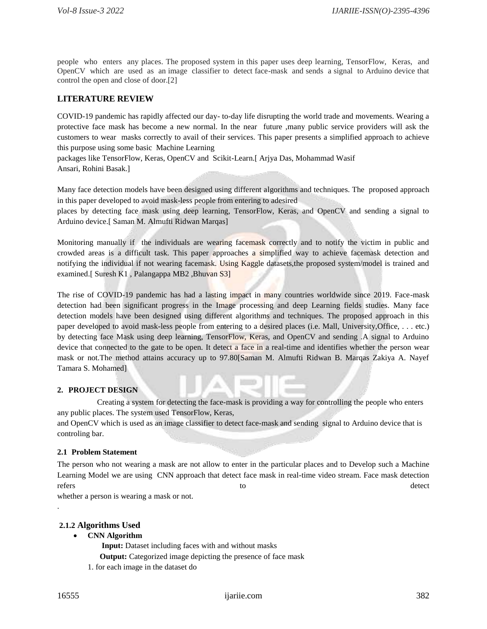people who enters any places. The proposed system in this paper uses deep learning, TensorFlow, Keras, and OpenCV which are used as an image classifier to detect face-mask and sends a signal to Arduino device that control the open and close of door.[2]

# **LITERATURE REVIEW**

COVID-19 pandemic has rapidly affected our day- to-day life disrupting the world trade and movements. Wearing a protective face mask has become a new normal. In the near future ,many public service providers will ask the customers to wear masks correctly to avail of their services. This paper presents a simplified approach to achieve this purpose using some basic Machine Learning

packages like TensorFlow, Keras, OpenCV and Scikit-Learn.[ Arjya Das, Mohammad Wasif Ansari, Rohini Basak.]

Many face detection models have been designed using different algorithms and techniques. The proposed approach in this paper developed to avoid mask-less people from entering to adesired

places by detecting face mask using deep learning, TensorFlow, Keras, and OpenCV and sending a signal to Arduino device.[ Saman M. Almufti Ridwan Marqas]

Monitoring manually if the individuals are wearing facemask correctly and to notify the victim in public and crowded areas is a difficult task. This paper approaches a simplified way to achieve facemask detection and notifying the individual if not wearing facemask. Using Kaggle datasets,the proposed system/model is trained and examined.[ Suresh K1 , Palangappa MB2 ,Bhuvan S3]

The rise of COVID-19 pandemic has had a lasting impact in many countries worldwide since 2019. Face-mask detection had been significant progress in the Image processing and deep Learning fields studies. Many face detection models have been designed using different algorithms and techniques. The proposed approach in this paper developed to avoid mask-less people from entering to a desired places (i.e. Mall, University,Office, . . . etc.) by detecting face Mask using deep learning, TensorFlow, Keras, and OpenCV and sending .A signal to Arduino device that connected to the gate to be open. It detect a face in a real-time and identifies whether the person wear mask or not.The method attains accuracy up to 97.80[Saman M. Almufti Ridwan B. Marqas Zakiya A. Nayef Tamara S. Mohamed]

# **2. PROJECT DESIGN**

 Creating a system for detecting the face-mask is providing a way for controlling the people who enters any public places. The system used TensorFlow, Keras,

and OpenCV which is used as an image classifier to detect face-mask and sending signal to Arduino device that is controling bar.

# **2.1 Problem Statement**

The person who not wearing a mask are not allow to enter in the particular places and to Develop such a Machine Learning Model we are using CNN approach that detect face mask in real-time video stream. Face mask detection refers to the detect of the contract of the contract of the detect of the detect of the detect of the detect of the detect of the detect of the detect of the detect of the detect of the detect of the detect of the detect o

whether a person is wearing a mask or not.

# **2.1.2 Algorithms Used**

**CNN Algorithm**

**Input:** Dataset including faces with and without masks

**Output:** Categorized image depicting the presence of face mask

1. for each image in the dataset do

.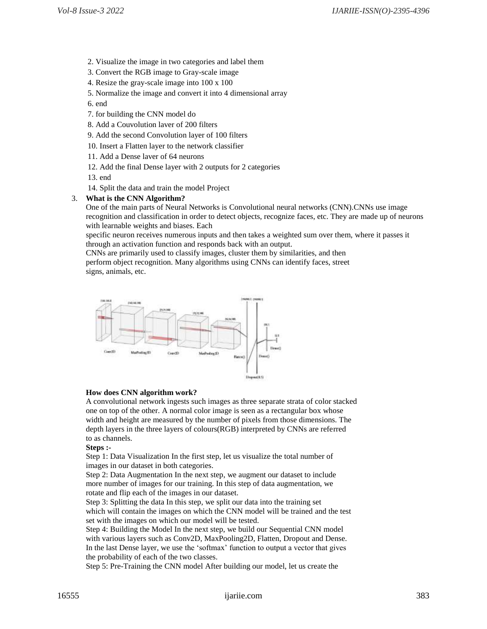- 2. Visualize the image in two categories and label them
- 3. Convert the RGB image to Gray-scale image
- 4. Resize the gray-scale image into 100 x 100
- 5. Normalize the image and convert it into 4 dimensional array

6. end

- 7. for building the CNN model do
- 8. Add a Couvolution laver of 200 filters
- 9. Add the second Convolution layer of 100 filters
- 10. Insert a Flatten layer to the network classifier
- 11. Add a Dense laver of 64 neurons
- 12. Add the final Dense layer with 2 outputs for 2 categories
- 13. end
- 14. Split the data and train the model Project

# 3. **What is the CNN Algorithm?**

One of the main parts of Neural Networks is Convolutional neural networks (CNN).CNNs use image recognition and classification in order to detect objects, recognize faces, etc. They are made up of neurons with learnable weights and biases. Each

specific neuron receives numerous inputs and then takes a weighted sum over them, where it passes it through an activation function and responds back with an output.

CNNs are primarily used to classify images, cluster them by similarities, and then perform object recognition. Many algorithms using CNNs can identify faces, street signs, animals, etc.



#### **How does CNN algorithm work?**

A convolutional network ingests such images as three separate strata of color stacked one on top of the other. A normal color image is seen as a rectangular box whose width and height are measured by the number of pixels from those dimensions. The depth layers in the three layers of colours(RGB) interpreted by CNNs are referred to as channels.

#### **Steps :-**

Step 1: Data Visualization In the first step, let us visualize the total number of images in our dataset in both categories.

Step 2: Data Augmentation In the next step, we augment our dataset to include more number of images for our training. In this step of data augmentation, we rotate and flip each of the images in our dataset.

Step 3: Splitting the data In this step, we split our data into the training set which will contain the images on which the CNN model will be trained and the test set with the images on which our model will be tested.

Step 4: Building the Model In the next step, we build our Sequential CNN model with various layers such as Conv2D, MaxPooling2D, Flatten, Dropout and Dense. In the last Dense layer, we use the 'softmax' function to output a vector that gives the probability of each of the two classes.

Step 5: Pre-Training the CNN model After building our model, let us create the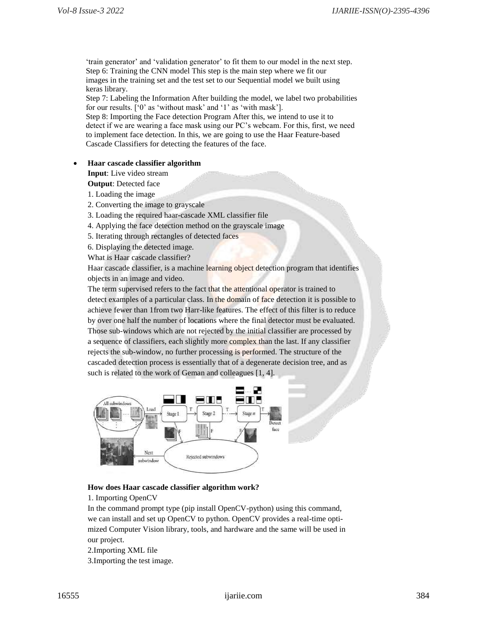'train generator' and 'validation generator' to fit them to our model in the next step. Step 6: Training the CNN model This step is the main step where we fit our images in the training set and the test set to our Sequential model we built using keras library.

Step 7: Labeling the Information After building the model, we label two probabilities for our results. ['0' as 'without mask' and '1' as 'with mask'].

Step 8: Importing the Face detection Program After this, we intend to use it to detect if we are wearing a face mask using our PC's webcam. For this, first, we need to implement face detection. In this, we are going to use the Haar Feature-based Cascade Classifiers for detecting the features of the face.

# **Haar cascade classifier algorithm**

**Input**: Live video stream

- **Output**: Detected face
- 1. Loading the image
- 2. Converting the image to grayscale
- 3. Loading the required haar-cascade XML classifier file
- 4. Applying the face detection method on the grayscale image
- 5. Iterating through rectangles of detected faces
- 6. Displaying the detected image.

What is Haar cascade classifier?

Haar cascade classifier, is a machine learning object detection program that identifies objects in an image and video.

The term supervised refers to the fact that the attentional operator is trained to detect examples of a particular class. In the domain of face detection it is possible to achieve fewer than 1from two Harr-like features. The effect of this filter is to reduce by over one half the number of locations where the final detector must be evaluated. Those sub-windows which are not rejected by the initial classifier are processed by a sequence of classifiers, each slightly more complex than the last. If any classifier rejects the sub-window, no further processing is performed. The structure of the cascaded detection process is essentially that of a degenerate decision tree, and as such is related to the work of Geman and colleagues [1, 4].



# **How does Haar cascade classifier algorithm work?**

1. Importing OpenCV

In the command prompt type (pip install OpenCV-python) using this command, we can install and set up OpenCV to python. OpenCV provides a real-time optimized Computer Vision library, tools, and hardware and the same will be used in our project.

2.Importing XML file 3.Importing the test image.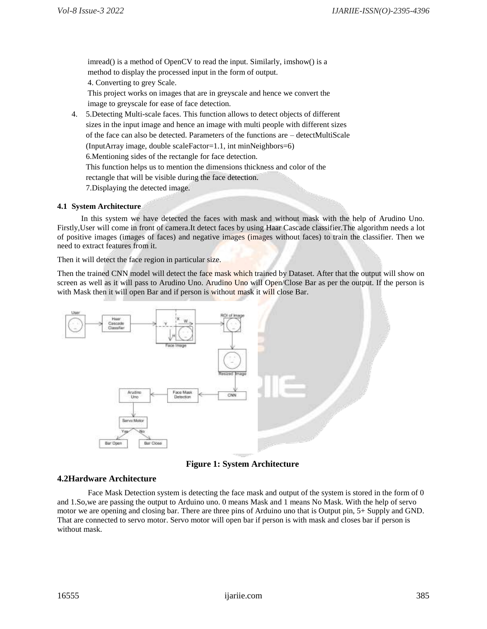imread() is a method of OpenCV to read the input. Similarly, imshow() is a method to display the processed input in the form of output. 4. Converting to grey Scale. This project works on images that are in greyscale and hence we convert the image to greyscale for ease of face detection.

4. 5.Detecting Multi-scale faces. This function allows to detect objects of different sizes in the input image and hence an image with multi people with different sizes of the face can also be detected. Parameters of the functions are – detectMultiScale (InputArray image, double scaleFactor=1.1, int minNeighbors=6) 6.Mentioning sides of the rectangle for face detection. This function helps us to mention the dimensions thickness and color of the rectangle that will be visible during the face detection. 7.Displaying the detected image.

# **4.1 System Architecture**

 In this system we have detected the faces with mask and without mask with the help of Arudino Uno. Firstly,User will come in front of camera.It detect faces by using Haar Cascade classifier.The algorithm needs a lot of positive images (images of faces) and negative images (images without faces) to train the classifier. Then we need to extract features from it.

Then it will detect the face region in particular size.

Then the trained CNN model will detect the face mask which trained by Dataset. After that the output will show on screen as well as it will pass to Arudino Uno. Arudino Uno will Open/Close Bar as per the output. If the person is with Mask then it will open Bar and if person is without mask it will close Bar.



**Figure 1: System Architecture**

# **4.2Hardware Architecture**

Face Mask Detection system is detecting the face mask and output of the system is stored in the form of 0 and 1.So,we are passing the output to Arduino uno. 0 means Mask and 1 means No Mask. With the help of servo motor we are opening and closing bar. There are three pins of Arduino uno that is Output pin, 5+ Supply and GND. That are connected to servo motor. Servo motor will open bar if person is with mask and closes bar if person is without mask.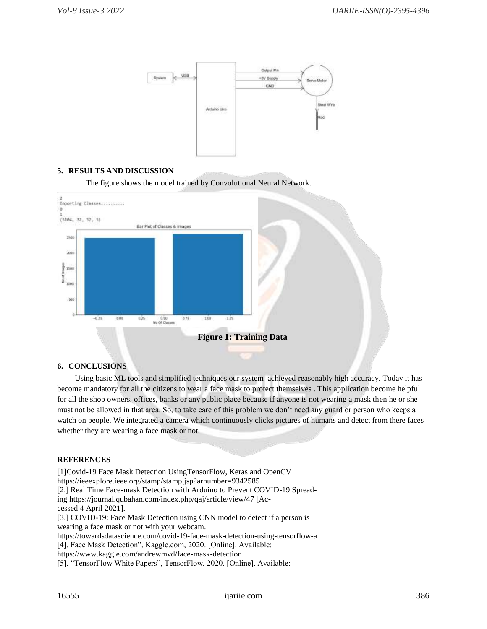

# **5. RESULTS AND DISCUSSION**

The figure shows the model trained by Convolutional Neural Network.



# **6. CONCLUSIONS**

 Using basic ML tools and simplified techniques our system achieved reasonably high accuracy. Today it has become mandatory for all the citizens to wear a face mask to protect themselves . This application become helpful for all the shop owners, offices, banks or any public place because if anyone is not wearing a mask then he or she must not be allowed in that area. So, to take care of this problem we don't need any guard or person who keeps a watch on people. We integrated a camera which continuously clicks pictures of humans and detect from there faces whether they are wearing a face mask or not.

#### **REFERENCES**

[1]Covid-19 Face Mask Detection UsingTensorFlow, Keras and OpenCV https://ieeexplore.ieee.org/stamp/stamp.jsp?arnumber=9342585 [2.] Real Time Face-mask Detection with Arduino to Prevent COVID-19 Spreading https://journal.qubahan.com/index.php/qaj/article/view/47 [Accessed 4 April 2021]. [3.] COVID-19: Face Mask Detection using CNN model to detect if a person is wearing a face mask or not with your webcam. https://towardsdatascience.com/covid-19-face-mask-detection-using-tensorflow-a [4]. Face Mask Detection", Kaggle.com, 2020. [Online]. Available: https://www.kaggle.com/andrewmvd/face-mask-detection [5]. "TensorFlow White Papers", TensorFlow, 2020. [Online]. Available: